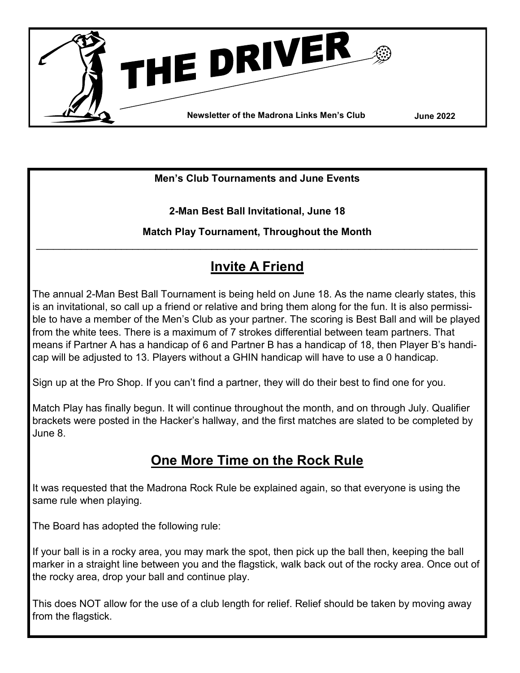

**Men's Club Tournaments and June Events**

**2-Man Best Ball Invitational, June 18**

**Match Play Tournament, Throughout the Month**  $\mathcal{L}_\mathcal{L} = \{ \mathcal{L}_\mathcal{L} = \{ \mathcal{L}_\mathcal{L} = \{ \mathcal{L}_\mathcal{L} = \{ \mathcal{L}_\mathcal{L} = \{ \mathcal{L}_\mathcal{L} = \{ \mathcal{L}_\mathcal{L} = \{ \mathcal{L}_\mathcal{L} = \{ \mathcal{L}_\mathcal{L} = \{ \mathcal{L}_\mathcal{L} = \{ \mathcal{L}_\mathcal{L} = \{ \mathcal{L}_\mathcal{L} = \{ \mathcal{L}_\mathcal{L} = \{ \mathcal{L}_\mathcal{L} = \{ \mathcal{L}_\mathcal{$ 

# **Invite A Friend**

The annual 2-Man Best Ball Tournament is being held on June 18. As the name clearly states, this is an invitational, so call up a friend or relative and bring them along for the fun. It is also permissible to have a member of the Men's Club as your partner. The scoring is Best Ball and will be played from the white tees. There is a maximum of 7 strokes differential between team partners. That means if Partner A has a handicap of 6 and Partner B has a handicap of 18, then Player B's handicap will be adjusted to 13. Players without a GHIN handicap will have to use a 0 handicap.

Sign up at the Pro Shop. If you can't find a partner, they will do their best to find one for you.

Match Play has finally begun. It will continue throughout the month, and on through July. Qualifier brackets were posted in the Hacker's hallway, and the first matches are slated to be completed by June 8.

# **One More Time on the Rock Rule**

It was requested that the Madrona Rock Rule be explained again, so that everyone is using the same rule when playing.

The Board has adopted the following rule:

If your ball is in a rocky area, you may mark the spot, then pick up the ball then, keeping the ball marker in a straight line between you and the flagstick, walk back out of the rocky area. Once out of the rocky area, drop your ball and continue play.

This does NOT allow for the use of a club length for relief. Relief should be taken by moving away from the flagstick.